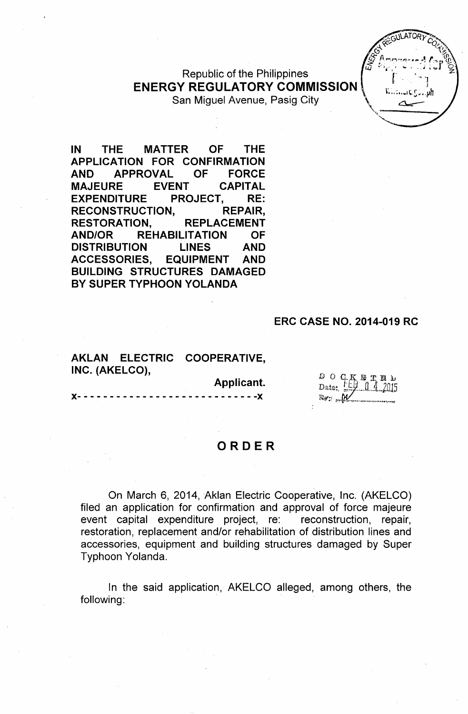Republic of the Philippines **ENERGY REGULATORY COMMISSION** San Miguel Avenue, Pasig City



**IN THE MATTER OF THE APPLICATION FOR CONFIRMATION AND APPROVAL OF FORCE MAJEURE EVENT CAPITAL EXPENDITURE PROJECT, RE: RECONSTRUCTION, REPAIR, RESTORATION, REPLACEMENT AND/OR REHABILITATION OF DISTRIBUTION LINES AND ACCESSORIES, EQUIPMENT AND BUILDING STRUCTURES DAMAGED** BY SUPER TYPHOON YOLANDA

#### **ERC CASE NO. 2014-019 RC**

#### **AKLAN ELECTRIC COOPERATIVE, INC. (AKELCO),**

**Applicant.**

**)(- - - - - - - - - - - - - - - - - - - - - - - - - - - -)(**

|         | šΙ | π,          | - 128 | e | Řз |
|---------|----|-------------|-------|---|----|
| Date: ! |    | EV 0 4 2015 |       |   |    |
|         |    | Trv         |       |   |    |

#### **ORDER**

On March 6, 2014, Aklan Electric Cooperative, Inc. (AKELCO) filed an application for confirmation and approval of force majeure event capital expenditure project, re: reconstruction, repair, restoration, replacement and/or rehabilitation of distribution lines and accessories, equipment and building structures damaged by Super Typhoon Yolanda.

In the said application, AKELCO alleged, among others, the following: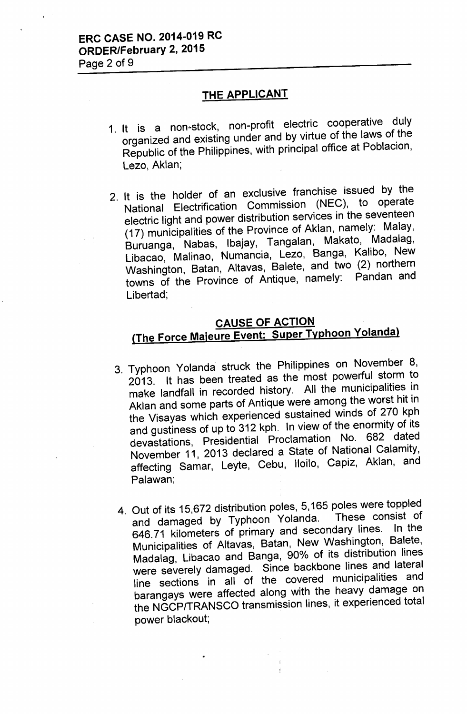#### THE APPLICANT

- 1. It is a non-stock, non-profit electric cooperative duly organized and existing under and by virtue of the laws of the Republic of the Philippines, with principal office at Poblacion, Lezo, Aklan;
- 2. It is the holder of an exclusive franchise issued by the National Electrification Commission (NEC), to operate electric light and power distribution services in the seventeen (17) municipalities of the Province of Aklan, namely: Malay, Buruanga, Nabas, Ibajay, Tangalan, Makato, Madalag, Libacao, Malinao, Numancia, Lezo, Banga, Kalibo, New Washington, Batan, Altavas, Balete, and two (2) northern towns of the Province of Antique, namely: Pandan and Libertad;

# CAUSE OF ACTION {The Force Majeure Event: Super Typhoon Yolandal

- 3. Typhoon Yolanda struck the Philippines on November 8, 2013. It has been treated as the most powerful storm to make landfall in recorded history. All the municipalities in Aklan and some parts of Antique were among the worst hit in the Visayas which experienced sustained winds of 270 kph and gustiness of up to 312 kph. In view of the enormity of its devastations, Presidential Proclamation No. 682 dated November 11, 2013 declared a State of National Calamity, affecting Samar, Leyte, Cebu, Iloilo, Capiz, Aklan, and Palawan;
- 4. Out of its 15,672 distribution poles, 5,165 poles were toppled<br>and demaged by Typhoon Yolanda. These consist of and damaged by Typhoon Yolanda. 646.71 kilometers of primary and secondary lines. In the Municipalities of Altavas, Batan, New Washington, Balete, Madalag, Libacao and Banga, 90% of its distribution lines were severely damaged. Since backbone lines and lateral line sections in all of the covered municipalities and barangays were affected along with the heavy damage on the NGCPITRANSCO transmission lines, it experienced total power blackout;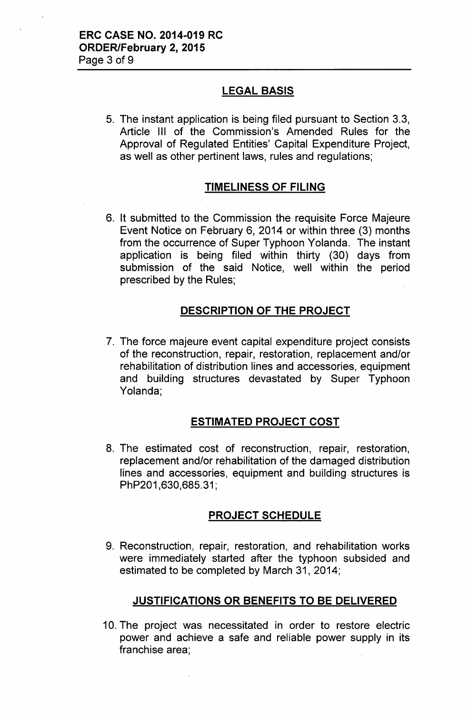## LEGAL BASIS

5. The instant application is being filed pursuant to Section 3.3, Article III of the Commission's Amended Rules for the Approval of Regulated Entities' Capital Expenditure Project, as well as other pertinent laws, rules and regulations;

## TIMELINESS OF FILING

6. It submitted to the Commission the requisite Force Majeure Event Notice on February 6, 2014 or within three (3) months from the occurrence of Super Typhoon Yolanda. The instant application is being filed within thirty (30) days from submission of the said Notice, well within the period prescribed by the Rules;

## DESCRIPTION OF THE PROJECT

7. The force majeure event capital expenditure project consists of the reconstruction, repair, restoration, replacement and/or rehabilitation of distribution lines and accessories, equipment and building structures devastated by Super Typhoon Yolanda;

#### ESTIMATED PROJECT COST

8. The estimated cost of reconstruction, repair, restoration, replacement and/or rehabilitation of the damaged distribution lines and accessories, equipment and building structures is PhP201,630,685.31;

#### PROJECT SCHEDULE

9. Reconstruction, repair, restoration, and rehabilitation works were immediately started after the typhoon subsided and estimated to be completed by March 31, 2014;

#### JUSTIFICATIONS OR BENEFITS TO BE DELIVERED

10. The project was necessitated in order to restore electric power and achieve a safe and reliable power supply in its franchise area;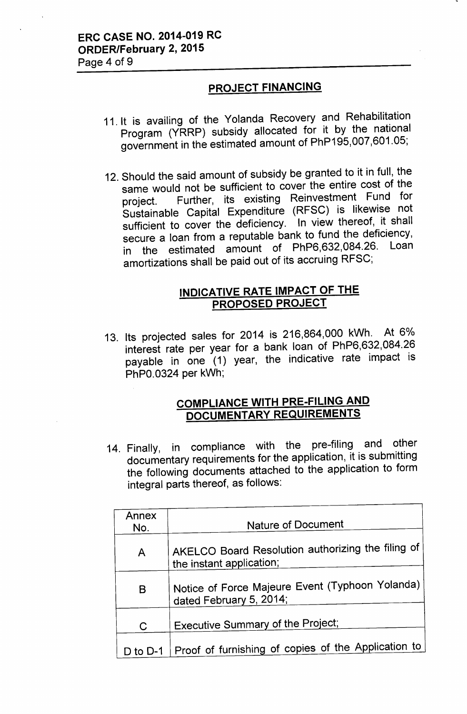# ERC CASE NO. 2014-019 RC ORDER/February 2, 2015

Page 4 of 9

#### PROJECT FINANCING

- 11. It is availing of the Yolanda Recovery and Rehabilitation Program (YRRP) subsidy allocated for it by the national government in the estimated amount of PhP195,007,601.05;
- 12. Should the said amount of subsidy be granted to it in full, the same would not be sufficient to cover the entire cost of the project. Further, its existing Reinvestment Fund for Sustainable Capital Expenditure (RFSC) is likewise not sufficient to cover the deficiency. In view thereof, it shall secure a loan from a reputable bank to fund the deficiency, in the estimated amount of PhP6,632,084.26. amortizations shall be paid out of its accruing RFSC;

## INDICATIVE RATE IMPACT OF THE PROPOSED PROJECT

13. Its projected sales for 2014 is 216,864,000 kWh. At 6% interest rate per year for a bank loan of PhP6,632,084.26 payable in one (1) year, the indicative rate impact is PhPO.0324 per kWh;

## COMPLIANCE WITH PRE-FILING AND DOCUMENTARY REQUIREMENTS

14. Finally, in compliance with the pre-filing and other documentary requirements for the application, it is submitting the following documents attached to the application to form integral parts thereof, as follows:

| Annex<br>No. | Nature of Document                                                            |  |  |
|--------------|-------------------------------------------------------------------------------|--|--|
| A            | AKELCO Board Resolution authorizing the filing of<br>the instant application; |  |  |
| B            | Notice of Force Majeure Event (Typhoon Yolanda)<br>dated February 5, 2014;    |  |  |
| $\mathsf C$  | <b>Executive Summary of the Project;</b>                                      |  |  |
| $D$ to $D-1$ | Proof of furnishing of copies of the Application to                           |  |  |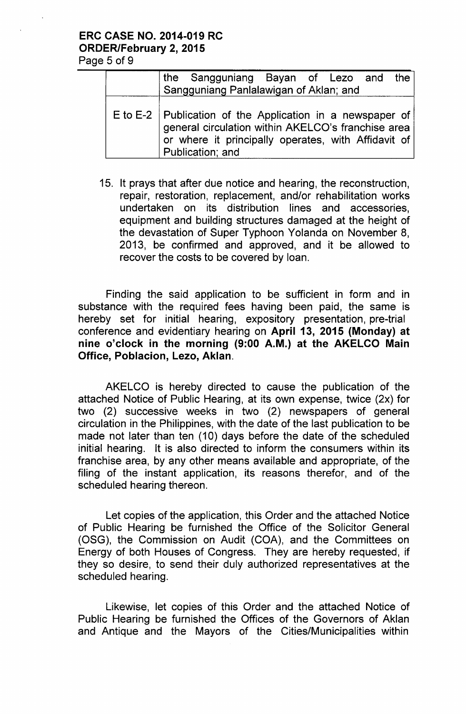# ERC CASE NO. 2014-019 RC ORDER/February 2, 2015

Page 5 of 9

| the Sangguniang Bayan of Lezo and the<br>Sangguniang Panlalawigan of Aklan; and                                                                                                              |
|----------------------------------------------------------------------------------------------------------------------------------------------------------------------------------------------|
| E to E-2   Publication of the Application in a newspaper of<br>general circulation within AKELCO's franchise area<br>or where it principally operates, with Affidavit of<br>Publication; and |

15. It prays that after due notice and hearing, the reconstruction, repair, restoration, replacement, and/or rehabilitation works undertaken on its distribution lines and accessories, equipment and building structures damaged at the height of the devastation of Super Typhoon Yolanda on November 8, 2013, be confirmed and approved, and it be allowed to recover the costs to be covered by loan.

Finding the said application to be sufficient in form and in substance with the required fees having been paid, the same is hereby set for initial hearing, expository presentation, pre-trial conference and evidentiary hearing on April 13, 2015 (Monday) at nine o'clock in the morning (9:00 A.M.) at the AKELCO Main Office, Poblacion, Lezo, Aklan.

AKELCO is hereby directed to cause the publication of the attached Notice of Public Hearing, at its own expense, twice (2x) for two (2) successive weeks in two (2) newspapers of general circulation in the Philippines, with the date of the last publication to be made not later than ten (10) days before the date of the scheduled initial hearing. It is also directed to inform the consumers within its franchise area, by any other means available and appropriate, of the filing of the instant application, its reasons therefor, and of the scheduled hearing thereon.

Let copies of the application, this Order and the attached Notice of Public Hearing be furnished the Office of the Solicitor General (OSG), the Commission on Audit (COA), and the Committees on Energy of both Houses of Congress. They are hereby requested, if they so desire, to send their duly authorized representatives at the scheduled hearing.

Likewise, let copies of this Order and the attached Notice of Public Hearing be furnished the Offices of the Governors of Aklan and Antique and the Mayors of the Cities/Municipalities within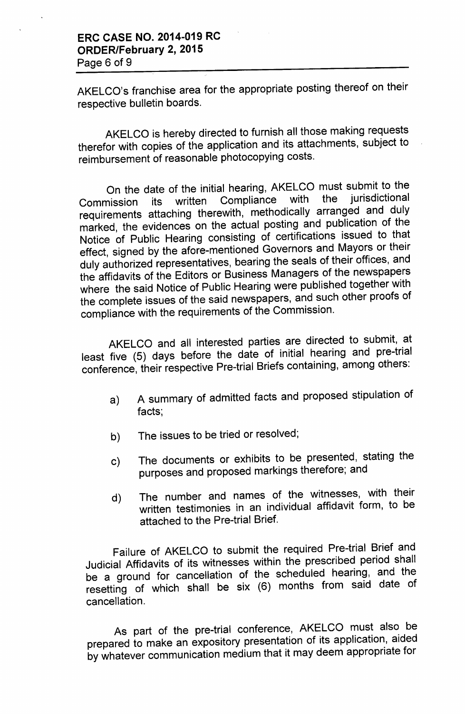AKELCO's franchise area for the appropriate posting thereof on their respective bulletin boards.

AKELCO is hereby directed to furnish all those making requests therefor with copies of the application and its attachments, subject to reimbursement of reasonable photocopying costs.

On the date of the initial hearing, AKELCO must submit to the<br>nission its written Compliance with the jurisdictional Commission its written Compliance with the jurisdictional requirements attaching therewith, methodically arranged and duly marked, the evidences on the actual posting and publication of the Notice of Public Hearing consisting of certifications issued to that effect, signed by the afore-mentioned Governors and Mayors or their duly authorized representatives, bearing the seals of their offices, and the affidavits of the Editors or Business Managers of the newspapers where the said Notice of Public Hearing were published together with the complete issues of the said newspapers, and such other proofs of compliance with the requirements of the Commission.

AKELCO and all interested parties are directed to submit, at least five (5) days before the date of initial hearing and pre-trial conference, their respective Pre-trial Briefs containing, among others:

- a) A summary of admitted facts and proposed stipulation of facts;
- b) The issues to be tried or resolved;
- c) The documents or exhibits to be presented, stating the purposes and proposed markings therefore; and
- d) The number and names of the witnesses, with their written testimonies in an individual affidavit form, to be attached to the Pre-trial Brief.

Failure of AKELCO to submit the required Pre-trial Brief and Judicial Affidavits of its witnesses within the prescribed period shall be a ground for cancellation of the scheduled hearing, and the resetting of which shall be six (6) months from said date of cancellation.

As part of the pre-trial conference, AKELCO must also be prepared to make an expository presentation of its application, aided by whatever communication medium that it may deem appropriate for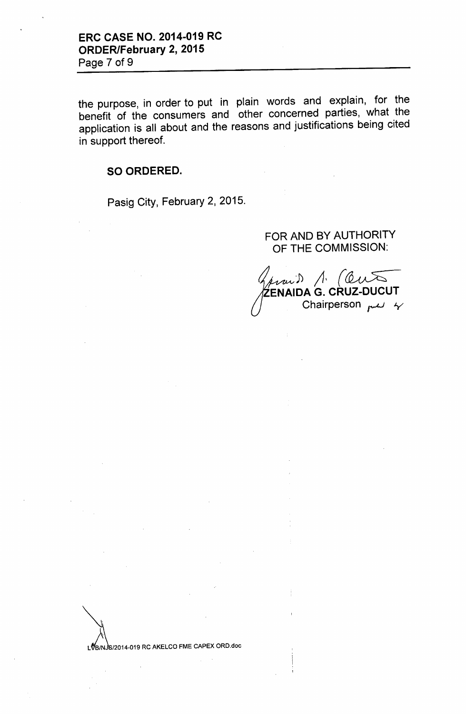the purpose, in order to put in plain words and explain, for the benefit of the consumers and other concerned parties, what the application is all about and the reasons and justifications being cited in support thereof.

#### SO ORDERED.

Pasig City, February 2, 2015.

#### FOR AND BY AUTHORITY OF THE COMMISSION:

prais 1. (Out ZENAIDA G. CRUZ-DUCUT Chairperson  $mu$   $\gamma$ 

LVB/NJS/2014-019 RC AKELCO FME CAPEX ORD.doc

 $\sum_{k=1}^{\infty}$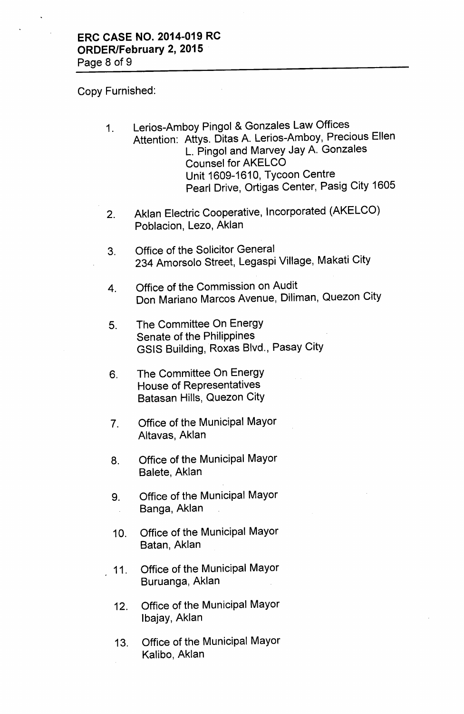Copy Furnished:

- 1. Lerios-Amboy Pingol & Gonzales Law Offices Attention: Attys. Ditas A. Lerios-Amboy, Precious Ellen L. Pingol and Marvey Jay A. Gonzales Counsel for AKELCO Unit 1609-1610, Tycoon Centre Pearl Drive, Ortigas Center, Pasig City 1605
- 2. Aklan Electric Cooperative, Incorporated (AKELCO) Poblacion, Lezo, Aklan
- 3. Office of the Solicitor General 234 Amorsolo Street, Legaspi Village, Makati City
- 4. Office of the Commission on Audit Don Mariano Marcos Avenue, Diliman, Quezon City
- 5. The Committee On Energy Senate of the Philippines GSIS Building, Roxas Blvd., Pasay City
- 6. The Committee On Energy House of Representatives Batasan Hills, Quezon City
- 7. Office of the Municipal Mayor Altavas, Aklan
- 8. Office of the Municipal Mayor Balete, Aklan
- 9. Office of the Municipal Mayor Banga, Aklan
- 10. Office of the Municipal Mayor Batan, Aklan
- 11. Office of the Municipal Mayor Buruanga, Aklan
- 12. Office of the Municipal Mayor Ibajay, Aklan
- 13. Office of the Municipal Mayor Kalibo, Aklan